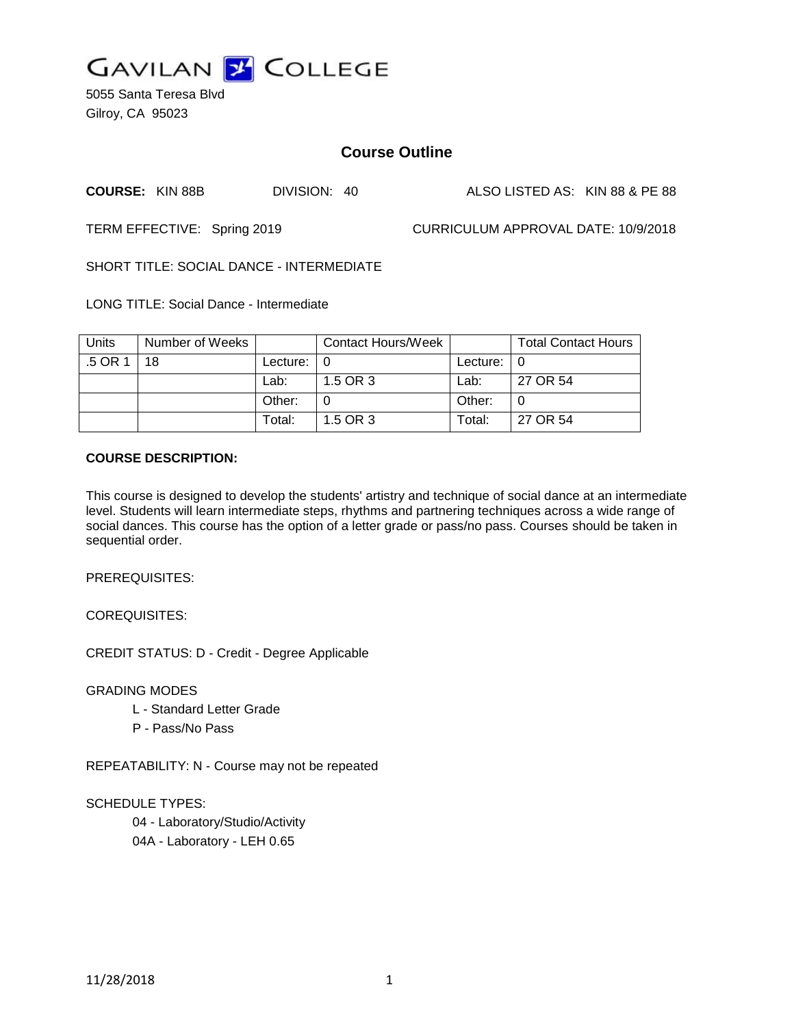

5055 Santa Teresa Blvd Gilroy, CA 95023

# **Course Outline**

**COURSE:** KIN 88B DIVISION: 40 ALSO LISTED AS: KIN 88 & PE 88

TERM EFFECTIVE: Spring 2019 CURRICULUM APPROVAL DATE: 10/9/2018

SHORT TITLE: SOCIAL DANCE - INTERMEDIATE

LONG TITLE: Social Dance - Intermediate

| Units | Number of Weeks |                            | <b>Contact Hours/Week</b> |               | <b>Total Contact Hours</b> |
|-------|-----------------|----------------------------|---------------------------|---------------|----------------------------|
| .5 OR | 18              | Lecture: $\vert 0 \rangle$ |                           | Lecture: $ 0$ |                            |
|       |                 | Lab:                       | 1.5 OR 3                  | Lab:          | 27 OR 54                   |
|       |                 | Other:                     |                           | Other:        |                            |
|       |                 | Total:                     | 1.5 OR 3                  | Total:        | 27 OR 54                   |

### **COURSE DESCRIPTION:**

This course is designed to develop the students' artistry and technique of social dance at an intermediate level. Students will learn intermediate steps, rhythms and partnering techniques across a wide range of social dances. This course has the option of a letter grade or pass/no pass. Courses should be taken in sequential order.

PREREQUISITES:

COREQUISITES:

CREDIT STATUS: D - Credit - Degree Applicable

GRADING MODES

- L Standard Letter Grade
- P Pass/No Pass

REPEATABILITY: N - Course may not be repeated

SCHEDULE TYPES:

04 - Laboratory/Studio/Activity 04A - Laboratory - LEH 0.65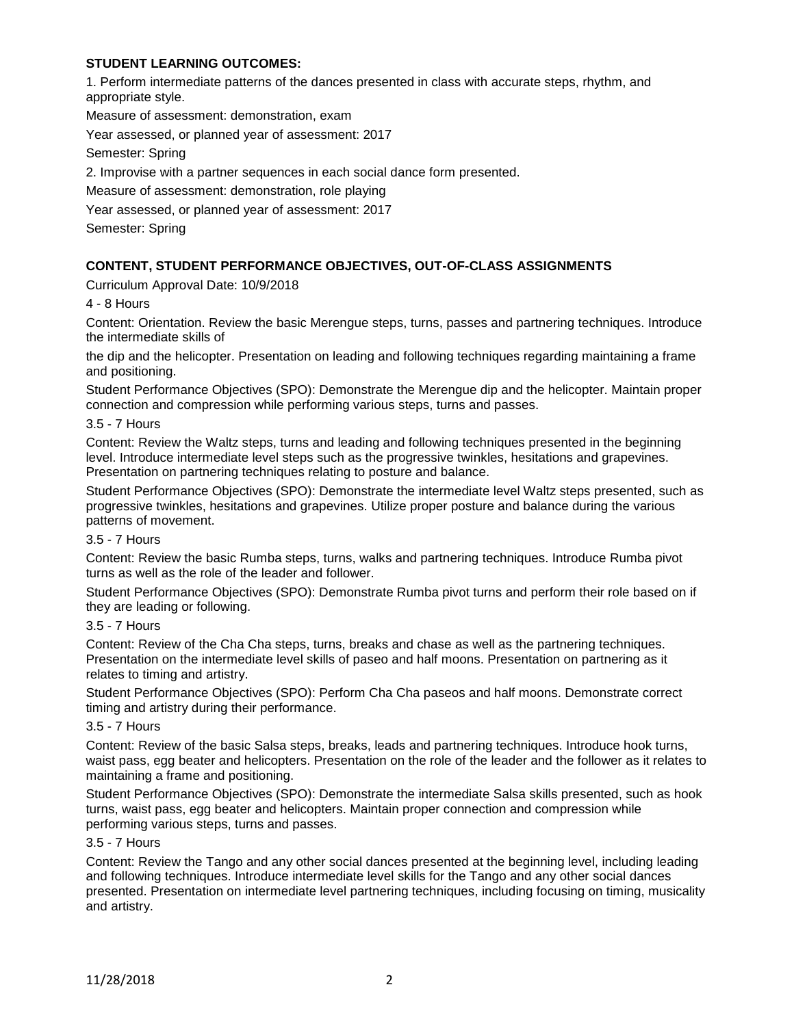# **STUDENT LEARNING OUTCOMES:**

1. Perform intermediate patterns of the dances presented in class with accurate steps, rhythm, and appropriate style.

Measure of assessment: demonstration, exam

Year assessed, or planned year of assessment: 2017

Semester: Spring

2. Improvise with a partner sequences in each social dance form presented.

Measure of assessment: demonstration, role playing

Year assessed, or planned year of assessment: 2017

Semester: Spring

# **CONTENT, STUDENT PERFORMANCE OBJECTIVES, OUT-OF-CLASS ASSIGNMENTS**

Curriculum Approval Date: 10/9/2018

4 - 8 Hours

Content: Orientation. Review the basic Merengue steps, turns, passes and partnering techniques. Introduce the intermediate skills of

the dip and the helicopter. Presentation on leading and following techniques regarding maintaining a frame and positioning.

Student Performance Objectives (SPO): Demonstrate the Merengue dip and the helicopter. Maintain proper connection and compression while performing various steps, turns and passes.

#### 3.5 - 7 Hours

Content: Review the Waltz steps, turns and leading and following techniques presented in the beginning level. Introduce intermediate level steps such as the progressive twinkles, hesitations and grapevines. Presentation on partnering techniques relating to posture and balance.

Student Performance Objectives (SPO): Demonstrate the intermediate level Waltz steps presented, such as progressive twinkles, hesitations and grapevines. Utilize proper posture and balance during the various patterns of movement.

#### 3.5 - 7 Hours

Content: Review the basic Rumba steps, turns, walks and partnering techniques. Introduce Rumba pivot turns as well as the role of the leader and follower.

Student Performance Objectives (SPO): Demonstrate Rumba pivot turns and perform their role based on if they are leading or following.

#### 3.5 - 7 Hours

Content: Review of the Cha Cha steps, turns, breaks and chase as well as the partnering techniques. Presentation on the intermediate level skills of paseo and half moons. Presentation on partnering as it relates to timing and artistry.

Student Performance Objectives (SPO): Perform Cha Cha paseos and half moons. Demonstrate correct timing and artistry during their performance.

# 3.5 - 7 Hours

Content: Review of the basic Salsa steps, breaks, leads and partnering techniques. Introduce hook turns, waist pass, egg beater and helicopters. Presentation on the role of the leader and the follower as it relates to maintaining a frame and positioning.

Student Performance Objectives (SPO): Demonstrate the intermediate Salsa skills presented, such as hook turns, waist pass, egg beater and helicopters. Maintain proper connection and compression while performing various steps, turns and passes.

### 3.5 - 7 Hours

Content: Review the Tango and any other social dances presented at the beginning level, including leading and following techniques. Introduce intermediate level skills for the Tango and any other social dances presented. Presentation on intermediate level partnering techniques, including focusing on timing, musicality and artistry.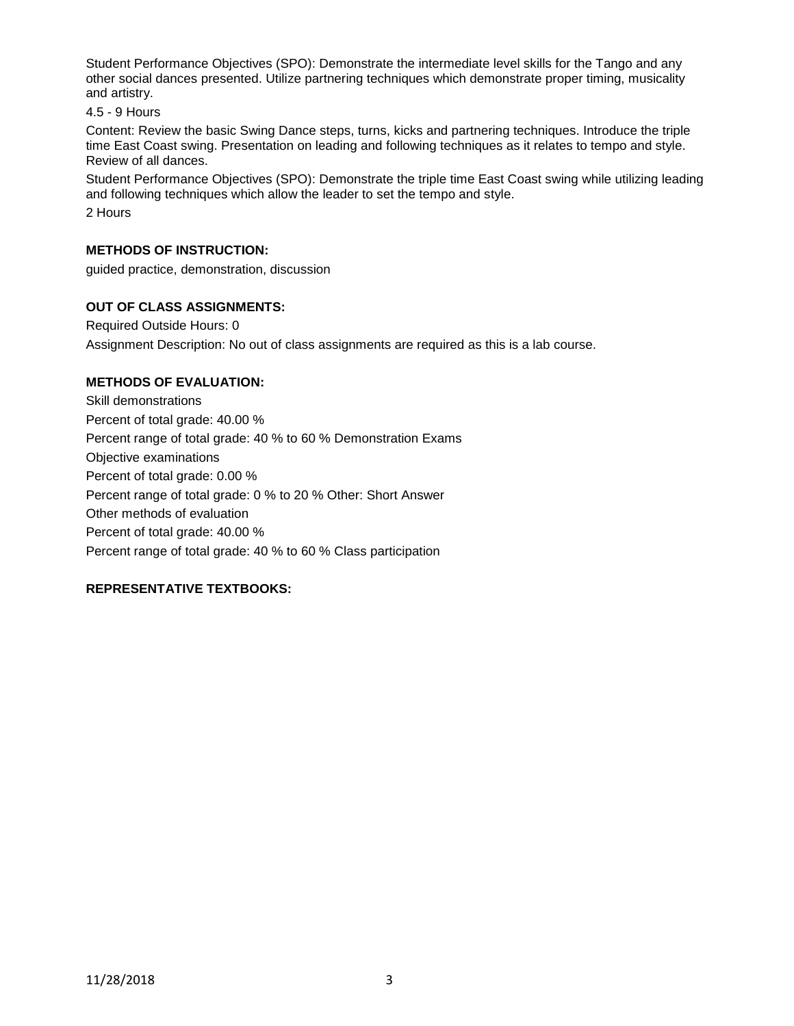Student Performance Objectives (SPO): Demonstrate the intermediate level skills for the Tango and any other social dances presented. Utilize partnering techniques which demonstrate proper timing, musicality and artistry.

4.5 - 9 Hours

Content: Review the basic Swing Dance steps, turns, kicks and partnering techniques. Introduce the triple time East Coast swing. Presentation on leading and following techniques as it relates to tempo and style. Review of all dances.

Student Performance Objectives (SPO): Demonstrate the triple time East Coast swing while utilizing leading and following techniques which allow the leader to set the tempo and style. 2 Hours

# **METHODS OF INSTRUCTION:**

guided practice, demonstration, discussion

# **OUT OF CLASS ASSIGNMENTS:**

Required Outside Hours: 0 Assignment Description: No out of class assignments are required as this is a lab course.

# **METHODS OF EVALUATION:**

Skill demonstrations Percent of total grade: 40.00 % Percent range of total grade: 40 % to 60 % Demonstration Exams Objective examinations Percent of total grade: 0.00 % Percent range of total grade: 0 % to 20 % Other: Short Answer Other methods of evaluation Percent of total grade: 40.00 % Percent range of total grade: 40 % to 60 % Class participation

# **REPRESENTATIVE TEXTBOOKS:**